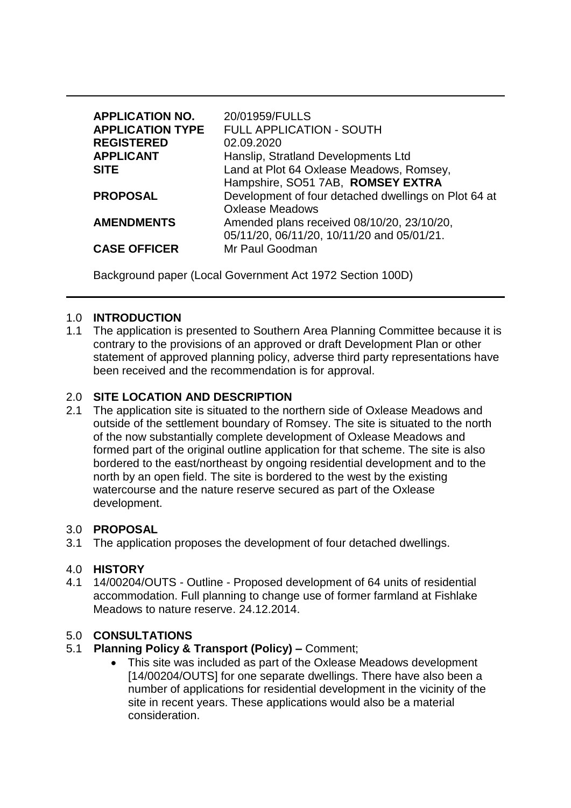| <b>APPLICATION NO.</b>  | 20/01959/FULLS                                       |
|-------------------------|------------------------------------------------------|
| <b>APPLICATION TYPE</b> | FULL APPLICATION - SOUTH                             |
| <b>REGISTERED</b>       | 02.09.2020                                           |
| <b>APPLICANT</b>        | Hanslip, Stratland Developments Ltd                  |
| <b>SITE</b>             | Land at Plot 64 Oxlease Meadows, Romsey,             |
|                         | Hampshire, SO51 7AB, ROMSEY EXTRA                    |
| <b>PROPOSAL</b>         | Development of four detached dwellings on Plot 64 at |
|                         | <b>Oxlease Meadows</b>                               |
| <b>AMENDMENTS</b>       | Amended plans received 08/10/20, 23/10/20,           |
|                         | 05/11/20, 06/11/20, 10/11/20 and 05/01/21.           |
| <b>CASE OFFICER</b>     | Mr Paul Goodman                                      |

Background paper (Local Government Act 1972 Section 100D)

# 1.0 **INTRODUCTION**

1.1 The application is presented to Southern Area Planning Committee because it is contrary to the provisions of an approved or draft Development Plan or other statement of approved planning policy, adverse third party representations have been received and the recommendation is for approval.

# 2.0 **SITE LOCATION AND DESCRIPTION**

2.1 The application site is situated to the northern side of Oxlease Meadows and outside of the settlement boundary of Romsey. The site is situated to the north of the now substantially complete development of Oxlease Meadows and formed part of the original outline application for that scheme. The site is also bordered to the east/northeast by ongoing residential development and to the north by an open field. The site is bordered to the west by the existing watercourse and the nature reserve secured as part of the Oxlease development.

## 3.0 **PROPOSAL**

3.1 The application proposes the development of four detached dwellings.

## 4.0 **HISTORY**

4.1 14/00204/OUTS - Outline - Proposed development of 64 units of residential accommodation. Full planning to change use of former farmland at Fishlake Meadows to nature reserve. 24.12.2014.

## 5.0 **CONSULTATIONS**

- 5.1 **Planning Policy & Transport (Policy) –** Comment;
	- This site was included as part of the Oxlease Meadows development [14/00204/OUTS] for one separate dwellings. There have also been a number of applications for residential development in the vicinity of the site in recent years. These applications would also be a material consideration.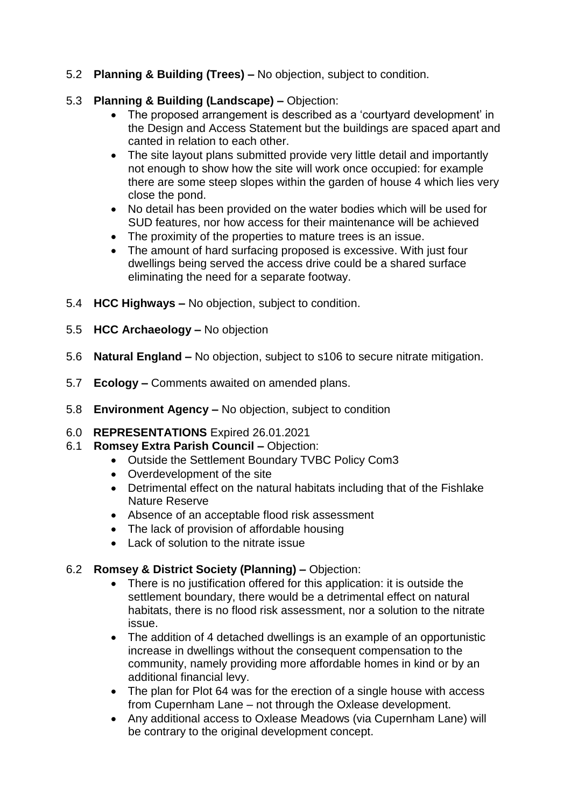5.2 **Planning & Building (Trees) –** No objection, subject to condition.

# 5.3 **Planning & Building (Landscape) –** Objection:

- The proposed arrangement is described as a 'courtyard development' in the Design and Access Statement but the buildings are spaced apart and canted in relation to each other.
- The site layout plans submitted provide very little detail and importantly not enough to show how the site will work once occupied: for example there are some steep slopes within the garden of house 4 which lies very close the pond.
- No detail has been provided on the water bodies which will be used for SUD features, nor how access for their maintenance will be achieved
- The proximity of the properties to mature trees is an issue.
- The amount of hard surfacing proposed is excessive. With just four dwellings being served the access drive could be a shared surface eliminating the need for a separate footway.
- 5.4 **HCC Highways –** No objection, subject to condition.
- 5.5 **HCC Archaeology –** No objection
- 5.6 **Natural England –** No objection, subject to s106 to secure nitrate mitigation.
- 5.7 **Ecology –** Comments awaited on amended plans.
- 5.8 **Environment Agency –** No objection, subject to condition
- 6.0 **REPRESENTATIONS** Expired 26.01.2021
- 6.1 **Romsey Extra Parish Council –** Objection:
	- Outside the Settlement Boundary TVBC Policy Com3
	- Overdevelopment of the site
	- Detrimental effect on the natural habitats including that of the Fishlake Nature Reserve
	- Absence of an acceptable flood risk assessment
	- The lack of provision of affordable housing
	- Lack of solution to the nitrate issue

# 6.2 **Romsey & District Society (Planning) –** Objection:

- There is no justification offered for this application: it is outside the settlement boundary, there would be a detrimental effect on natural habitats, there is no flood risk assessment, nor a solution to the nitrate issue.
- The addition of 4 detached dwellings is an example of an opportunistic increase in dwellings without the consequent compensation to the community, namely providing more affordable homes in kind or by an additional financial levy.
- The plan for Plot 64 was for the erection of a single house with access from Cupernham Lane – not through the Oxlease development.
- Any additional access to Oxlease Meadows (via Cupernham Lane) will be contrary to the original development concept.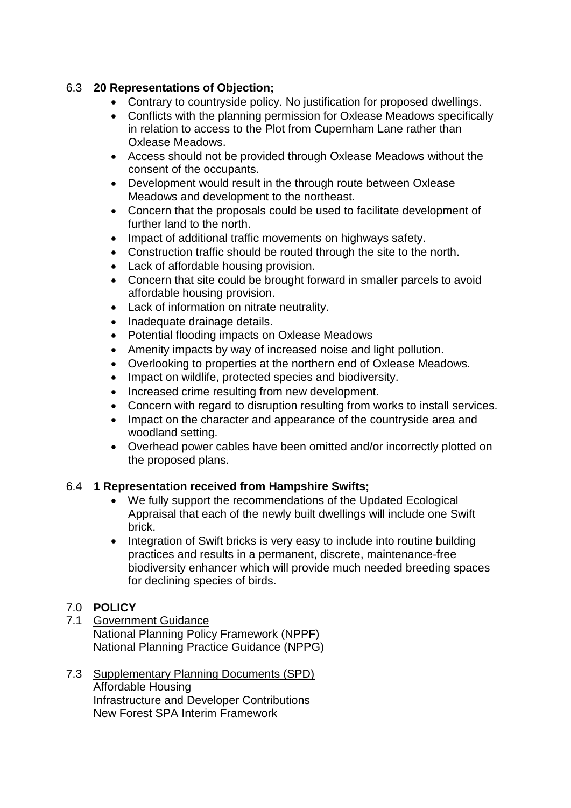# 6.3 **20 Representations of Objection;**

- Contrary to countryside policy. No justification for proposed dwellings.
- Conflicts with the planning permission for Oxlease Meadows specifically in relation to access to the Plot from Cupernham Lane rather than Oxlease Meadows.
- Access should not be provided through Oxlease Meadows without the consent of the occupants.
- Development would result in the through route between Oxlease Meadows and development to the northeast.
- Concern that the proposals could be used to facilitate development of further land to the north.
- Impact of additional traffic movements on highways safety.
- Construction traffic should be routed through the site to the north.
- Lack of affordable housing provision.
- Concern that site could be brought forward in smaller parcels to avoid affordable housing provision.
- Lack of information on nitrate neutrality.
- Inadequate drainage details.
- Potential flooding impacts on Oxlease Meadows
- Amenity impacts by way of increased noise and light pollution.
- Overlooking to properties at the northern end of Oxlease Meadows.
- Impact on wildlife, protected species and biodiversity.
- Increased crime resulting from new development.
- Concern with regard to disruption resulting from works to install services.
- Impact on the character and appearance of the countryside area and woodland setting.
- Overhead power cables have been omitted and/or incorrectly plotted on the proposed plans.

## 6.4 **1 Representation received from Hampshire Swifts;**

- We fully support the recommendations of the Updated Ecological Appraisal that each of the newly built dwellings will include one Swift brick.
- Integration of Swift bricks is very easy to include into routine building practices and results in a permanent, discrete, maintenance‐free biodiversity enhancer which will provide much needed breeding spaces for declining species of birds.

# 7.0 **POLICY**

- 7.1 Government Guidance National Planning Policy Framework (NPPF) National Planning Practice Guidance (NPPG)
- 7.3 Supplementary Planning Documents (SPD) Affordable Housing Infrastructure and Developer Contributions New Forest SPA Interim Framework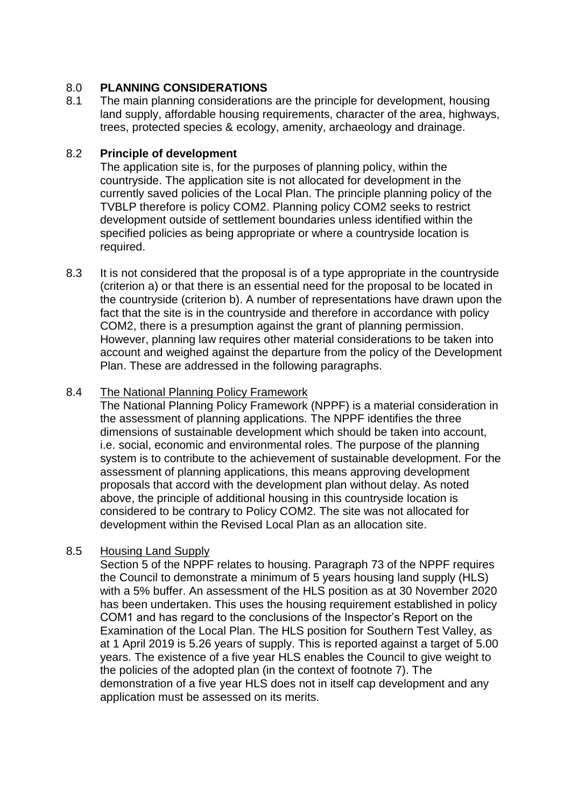# 8.0 **PLANNING CONSIDERATIONS**

8.1 The main planning considerations are the principle for development, housing land supply, affordable housing requirements, character of the area, highways, trees, protected species & ecology, amenity, archaeology and drainage.

# 8.2 **Principle of development**

The application site is, for the purposes of planning policy, within the countryside. The application site is not allocated for development in the currently saved policies of the Local Plan. The principle planning policy of the TVBLP therefore is policy COM2. Planning policy COM2 seeks to restrict development outside of settlement boundaries unless identified within the specified policies as being appropriate or where a countryside location is required.

8.3 It is not considered that the proposal is of a type appropriate in the countryside (criterion a) or that there is an essential need for the proposal to be located in the countryside (criterion b). A number of representations have drawn upon the fact that the site is in the countryside and therefore in accordance with policy COM2, there is a presumption against the grant of planning permission. However, planning law requires other material considerations to be taken into account and weighed against the departure from the policy of the Development Plan. These are addressed in the following paragraphs.

# 8.4 The National Planning Policy Framework

The National Planning Policy Framework (NPPF) is a material consideration in the assessment of planning applications. The NPPF identifies the three dimensions of sustainable development which should be taken into account, i.e. social, economic and environmental roles. The purpose of the planning system is to contribute to the achievement of sustainable development. For the assessment of planning applications, this means approving development proposals that accord with the development plan without delay. As noted above, the principle of additional housing in this countryside location is considered to be contrary to Policy COM2. The site was not allocated for development within the Revised Local Plan as an allocation site.

# 8.5 Housing Land Supply

Section 5 of the NPPF relates to housing. Paragraph 73 of the NPPF requires the Council to demonstrate a minimum of 5 years housing land supply (HLS) with a 5% buffer. An assessment of the HLS position as at 30 November 2020 has been undertaken. This uses the housing requirement established in policy COM1 and has regard to the conclusions of the Inspector's Report on the Examination of the Local Plan. The HLS position for Southern Test Valley, as at 1 April 2019 is 5.26 years of supply. This is reported against a target of 5.00 years. The existence of a five year HLS enables the Council to give weight to the policies of the adopted plan (in the context of footnote 7). The demonstration of a five year HLS does not in itself cap development and any application must be assessed on its merits.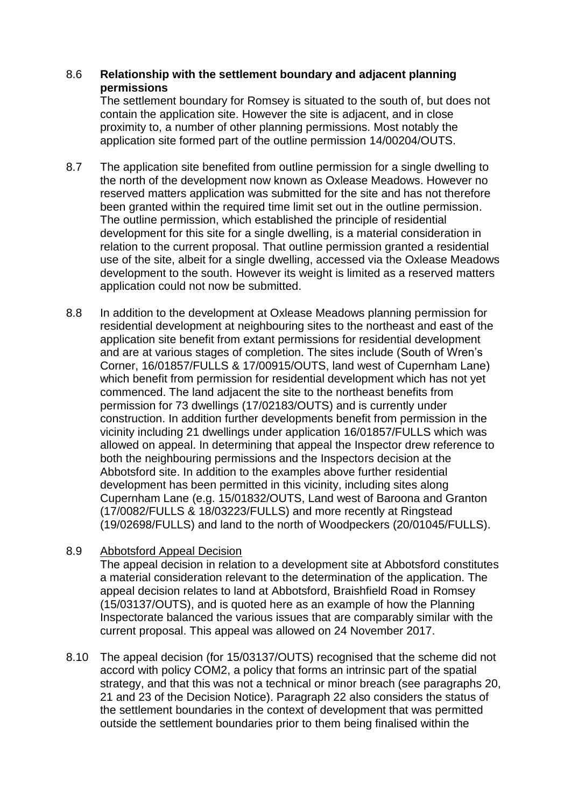# 8.6 **Relationship with the settlement boundary and adjacent planning permissions**

The settlement boundary for Romsey is situated to the south of, but does not contain the application site. However the site is adjacent, and in close proximity to, a number of other planning permissions. Most notably the application site formed part of the outline permission 14/00204/OUTS.

- 8.7 The application site benefited from outline permission for a single dwelling to the north of the development now known as Oxlease Meadows. However no reserved matters application was submitted for the site and has not therefore been granted within the required time limit set out in the outline permission. The outline permission, which established the principle of residential development for this site for a single dwelling, is a material consideration in relation to the current proposal. That outline permission granted a residential use of the site, albeit for a single dwelling, accessed via the Oxlease Meadows development to the south. However its weight is limited as a reserved matters application could not now be submitted.
- 8.8 In addition to the development at Oxlease Meadows planning permission for residential development at neighbouring sites to the northeast and east of the application site benefit from extant permissions for residential development and are at various stages of completion. The sites include (South of Wren's Corner, 16/01857/FULLS & 17/00915/OUTS, land west of Cupernham Lane) which benefit from permission for residential development which has not yet commenced. The land adjacent the site to the northeast benefits from permission for 73 dwellings (17/02183/OUTS) and is currently under construction. In addition further developments benefit from permission in the vicinity including 21 dwellings under application 16/01857/FULLS which was allowed on appeal. In determining that appeal the Inspector drew reference to both the neighbouring permissions and the Inspectors decision at the Abbotsford site. In addition to the examples above further residential development has been permitted in this vicinity, including sites along Cupernham Lane (e.g. 15/01832/OUTS, Land west of Baroona and Granton (17/0082/FULLS & 18/03223/FULLS) and more recently at Ringstead (19/02698/FULLS) and land to the north of Woodpeckers (20/01045/FULLS).
- 8.9 Abbotsford Appeal Decision

The appeal decision in relation to a development site at Abbotsford constitutes a material consideration relevant to the determination of the application. The appeal decision relates to land at Abbotsford, Braishfield Road in Romsey (15/03137/OUTS), and is quoted here as an example of how the Planning Inspectorate balanced the various issues that are comparably similar with the current proposal. This appeal was allowed on 24 November 2017.

8.10 The appeal decision (for 15/03137/OUTS) recognised that the scheme did not accord with policy COM2, a policy that forms an intrinsic part of the spatial strategy, and that this was not a technical or minor breach (see paragraphs 20, 21 and 23 of the Decision Notice). Paragraph 22 also considers the status of the settlement boundaries in the context of development that was permitted outside the settlement boundaries prior to them being finalised within the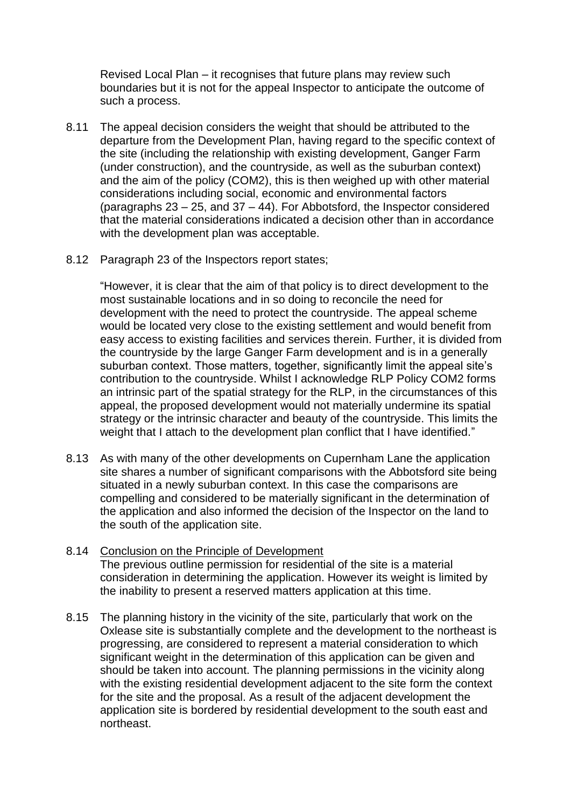Revised Local Plan – it recognises that future plans may review such boundaries but it is not for the appeal Inspector to anticipate the outcome of such a process.

- 8.11 The appeal decision considers the weight that should be attributed to the departure from the Development Plan, having regard to the specific context of the site (including the relationship with existing development, Ganger Farm (under construction), and the countryside, as well as the suburban context) and the aim of the policy (COM2), this is then weighed up with other material considerations including social, economic and environmental factors (paragraphs 23 – 25, and 37 – 44). For Abbotsford, the Inspector considered that the material considerations indicated a decision other than in accordance with the development plan was acceptable.
- 8.12 Paragraph 23 of the Inspectors report states;

"However, it is clear that the aim of that policy is to direct development to the most sustainable locations and in so doing to reconcile the need for development with the need to protect the countryside. The appeal scheme would be located very close to the existing settlement and would benefit from easy access to existing facilities and services therein. Further, it is divided from the countryside by the large Ganger Farm development and is in a generally suburban context. Those matters, together, significantly limit the appeal site's contribution to the countryside. Whilst I acknowledge RLP Policy COM2 forms an intrinsic part of the spatial strategy for the RLP, in the circumstances of this appeal, the proposed development would not materially undermine its spatial strategy or the intrinsic character and beauty of the countryside. This limits the weight that I attach to the development plan conflict that I have identified."

- 8.13 As with many of the other developments on Cupernham Lane the application site shares a number of significant comparisons with the Abbotsford site being situated in a newly suburban context. In this case the comparisons are compelling and considered to be materially significant in the determination of the application and also informed the decision of the Inspector on the land to the south of the application site.
- 8.14 Conclusion on the Principle of Development The previous outline permission for residential of the site is a material consideration in determining the application. However its weight is limited by the inability to present a reserved matters application at this time.
- 8.15 The planning history in the vicinity of the site, particularly that work on the Oxlease site is substantially complete and the development to the northeast is progressing, are considered to represent a material consideration to which significant weight in the determination of this application can be given and should be taken into account. The planning permissions in the vicinity along with the existing residential development adjacent to the site form the context for the site and the proposal. As a result of the adjacent development the application site is bordered by residential development to the south east and northeast.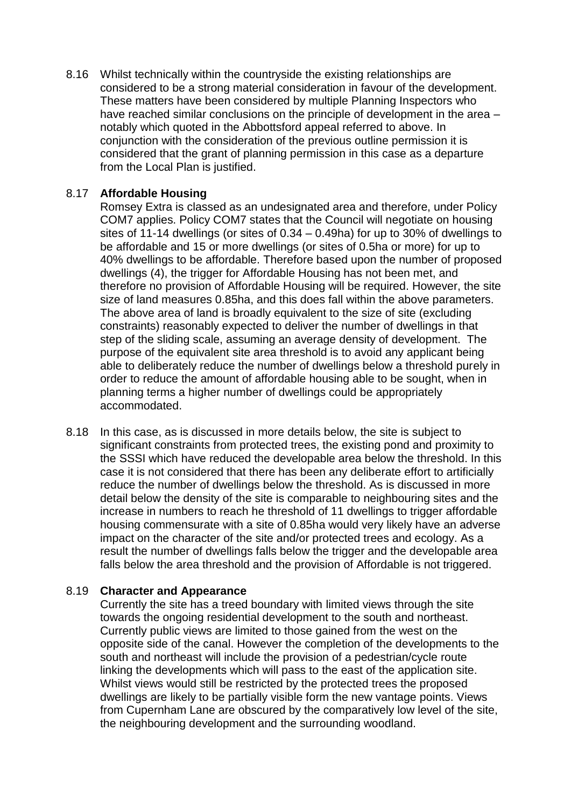8.16 Whilst technically within the countryside the existing relationships are considered to be a strong material consideration in favour of the development. These matters have been considered by multiple Planning Inspectors who have reached similar conclusions on the principle of development in the area – notably which quoted in the Abbottsford appeal referred to above. In conjunction with the consideration of the previous outline permission it is considered that the grant of planning permission in this case as a departure from the Local Plan is justified.

## 8.17 **Affordable Housing**

Romsey Extra is classed as an undesignated area and therefore, under Policy COM7 applies. Policy COM7 states that the Council will negotiate on housing sites of 11-14 dwellings (or sites of 0.34 – 0.49ha) for up to 30% of dwellings to be affordable and 15 or more dwellings (or sites of 0.5ha or more) for up to 40% dwellings to be affordable. Therefore based upon the number of proposed dwellings (4), the trigger for Affordable Housing has not been met, and therefore no provision of Affordable Housing will be required. However, the site size of land measures 0.85ha, and this does fall within the above parameters. The above area of land is broadly equivalent to the size of site (excluding constraints) reasonably expected to deliver the number of dwellings in that step of the sliding scale, assuming an average density of development. The purpose of the equivalent site area threshold is to avoid any applicant being able to deliberately reduce the number of dwellings below a threshold purely in order to reduce the amount of affordable housing able to be sought, when in planning terms a higher number of dwellings could be appropriately accommodated.

8.18 In this case, as is discussed in more details below, the site is subject to significant constraints from protected trees, the existing pond and proximity to the SSSI which have reduced the developable area below the threshold. In this case it is not considered that there has been any deliberate effort to artificially reduce the number of dwellings below the threshold. As is discussed in more detail below the density of the site is comparable to neighbouring sites and the increase in numbers to reach he threshold of 11 dwellings to trigger affordable housing commensurate with a site of 0.85ha would very likely have an adverse impact on the character of the site and/or protected trees and ecology. As a result the number of dwellings falls below the trigger and the developable area falls below the area threshold and the provision of Affordable is not triggered.

## 8.19 **Character and Appearance**

Currently the site has a treed boundary with limited views through the site towards the ongoing residential development to the south and northeast. Currently public views are limited to those gained from the west on the opposite side of the canal. However the completion of the developments to the south and northeast will include the provision of a pedestrian/cycle route linking the developments which will pass to the east of the application site. Whilst views would still be restricted by the protected trees the proposed dwellings are likely to be partially visible form the new vantage points. Views from Cupernham Lane are obscured by the comparatively low level of the site, the neighbouring development and the surrounding woodland.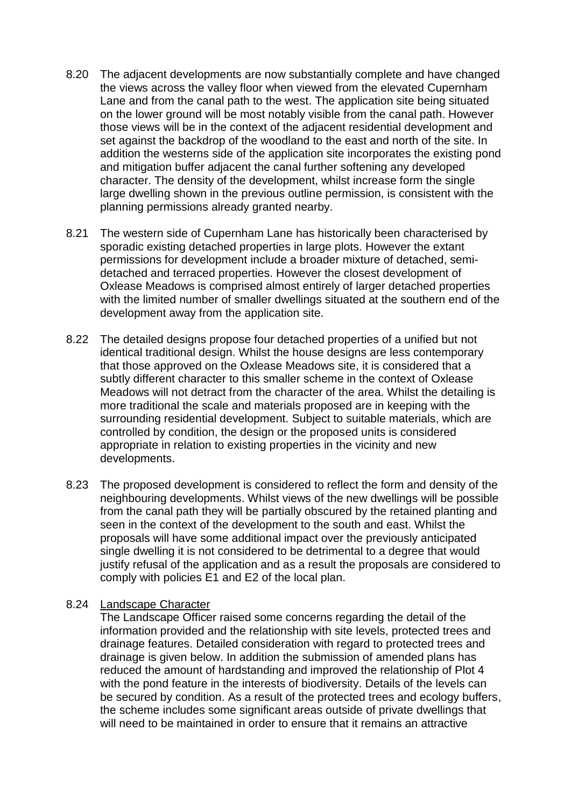- 8.20 The adjacent developments are now substantially complete and have changed the views across the valley floor when viewed from the elevated Cupernham Lane and from the canal path to the west. The application site being situated on the lower ground will be most notably visible from the canal path. However those views will be in the context of the adjacent residential development and set against the backdrop of the woodland to the east and north of the site. In addition the westerns side of the application site incorporates the existing pond and mitigation buffer adjacent the canal further softening any developed character. The density of the development, whilst increase form the single large dwelling shown in the previous outline permission, is consistent with the planning permissions already granted nearby.
- 8.21 The western side of Cupernham Lane has historically been characterised by sporadic existing detached properties in large plots. However the extant permissions for development include a broader mixture of detached, semidetached and terraced properties. However the closest development of Oxlease Meadows is comprised almost entirely of larger detached properties with the limited number of smaller dwellings situated at the southern end of the development away from the application site.
- 8.22 The detailed designs propose four detached properties of a unified but not identical traditional design. Whilst the house designs are less contemporary that those approved on the Oxlease Meadows site, it is considered that a subtly different character to this smaller scheme in the context of Oxlease Meadows will not detract from the character of the area. Whilst the detailing is more traditional the scale and materials proposed are in keeping with the surrounding residential development. Subject to suitable materials, which are controlled by condition, the design or the proposed units is considered appropriate in relation to existing properties in the vicinity and new developments.
- 8.23 The proposed development is considered to reflect the form and density of the neighbouring developments. Whilst views of the new dwellings will be possible from the canal path they will be partially obscured by the retained planting and seen in the context of the development to the south and east. Whilst the proposals will have some additional impact over the previously anticipated single dwelling it is not considered to be detrimental to a degree that would justify refusal of the application and as a result the proposals are considered to comply with policies E1 and E2 of the local plan.

#### 8.24 Landscape Character

The Landscape Officer raised some concerns regarding the detail of the information provided and the relationship with site levels, protected trees and drainage features. Detailed consideration with regard to protected trees and drainage is given below. In addition the submission of amended plans has reduced the amount of hardstanding and improved the relationship of Plot 4 with the pond feature in the interests of biodiversity. Details of the levels can be secured by condition. As a result of the protected trees and ecology buffers, the scheme includes some significant areas outside of private dwellings that will need to be maintained in order to ensure that it remains an attractive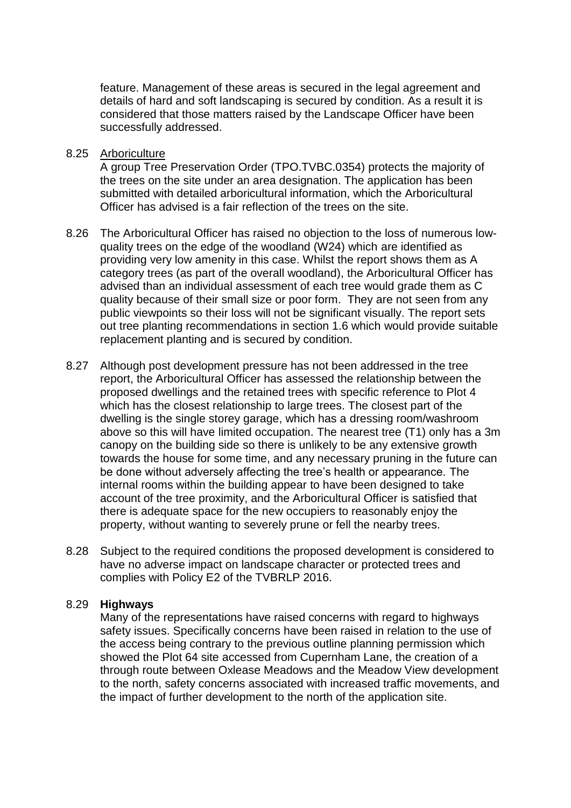feature. Management of these areas is secured in the legal agreement and details of hard and soft landscaping is secured by condition. As a result it is considered that those matters raised by the Landscape Officer have been successfully addressed.

8.25 Arboriculture

A group Tree Preservation Order (TPO.TVBC.0354) protects the majority of the trees on the site under an area designation. The application has been submitted with detailed arboricultural information, which the Arboricultural Officer has advised is a fair reflection of the trees on the site.

- 8.26 The Arboricultural Officer has raised no objection to the loss of numerous lowquality trees on the edge of the woodland (W24) which are identified as providing very low amenity in this case. Whilst the report shows them as A category trees (as part of the overall woodland), the Arboricultural Officer has advised than an individual assessment of each tree would grade them as C quality because of their small size or poor form. They are not seen from any public viewpoints so their loss will not be significant visually. The report sets out tree planting recommendations in section 1.6 which would provide suitable replacement planting and is secured by condition.
- 8.27 Although post development pressure has not been addressed in the tree report, the Arboricultural Officer has assessed the relationship between the proposed dwellings and the retained trees with specific reference to Plot 4 which has the closest relationship to large trees. The closest part of the dwelling is the single storey garage, which has a dressing room/washroom above so this will have limited occupation. The nearest tree (T1) only has a 3m canopy on the building side so there is unlikely to be any extensive growth towards the house for some time, and any necessary pruning in the future can be done without adversely affecting the tree's health or appearance. The internal rooms within the building appear to have been designed to take account of the tree proximity, and the Arboricultural Officer is satisfied that there is adequate space for the new occupiers to reasonably enjoy the property, without wanting to severely prune or fell the nearby trees.
- 8.28 Subject to the required conditions the proposed development is considered to have no adverse impact on landscape character or protected trees and complies with Policy E2 of the TVBRLP 2016.

#### 8.29 **Highways**

Many of the representations have raised concerns with regard to highways safety issues. Specifically concerns have been raised in relation to the use of the access being contrary to the previous outline planning permission which showed the Plot 64 site accessed from Cupernham Lane, the creation of a through route between Oxlease Meadows and the Meadow View development to the north, safety concerns associated with increased traffic movements, and the impact of further development to the north of the application site.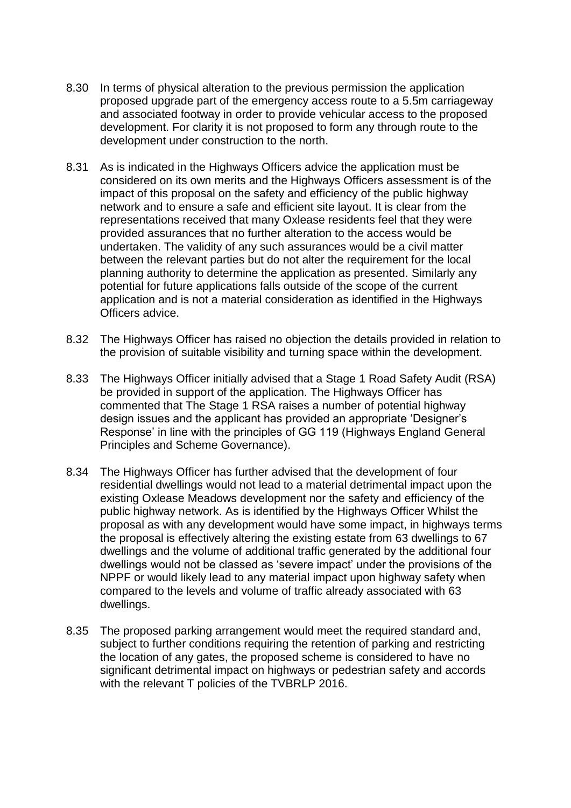- 8.30 In terms of physical alteration to the previous permission the application proposed upgrade part of the emergency access route to a 5.5m carriageway and associated footway in order to provide vehicular access to the proposed development. For clarity it is not proposed to form any through route to the development under construction to the north.
- 8.31 As is indicated in the Highways Officers advice the application must be considered on its own merits and the Highways Officers assessment is of the impact of this proposal on the safety and efficiency of the public highway network and to ensure a safe and efficient site layout. It is clear from the representations received that many Oxlease residents feel that they were provided assurances that no further alteration to the access would be undertaken. The validity of any such assurances would be a civil matter between the relevant parties but do not alter the requirement for the local planning authority to determine the application as presented. Similarly any potential for future applications falls outside of the scope of the current application and is not a material consideration as identified in the Highways Officers advice.
- 8.32 The Highways Officer has raised no objection the details provided in relation to the provision of suitable visibility and turning space within the development.
- 8.33 The Highways Officer initially advised that a Stage 1 Road Safety Audit (RSA) be provided in support of the application. The Highways Officer has commented that The Stage 1 RSA raises a number of potential highway design issues and the applicant has provided an appropriate 'Designer's Response' in line with the principles of GG 119 (Highways England General Principles and Scheme Governance).
- 8.34 The Highways Officer has further advised that the development of four residential dwellings would not lead to a material detrimental impact upon the existing Oxlease Meadows development nor the safety and efficiency of the public highway network. As is identified by the Highways Officer Whilst the proposal as with any development would have some impact, in highways terms the proposal is effectively altering the existing estate from 63 dwellings to 67 dwellings and the volume of additional traffic generated by the additional four dwellings would not be classed as 'severe impact' under the provisions of the NPPF or would likely lead to any material impact upon highway safety when compared to the levels and volume of traffic already associated with 63 dwellings.
- 8.35 The proposed parking arrangement would meet the required standard and, subject to further conditions requiring the retention of parking and restricting the location of any gates, the proposed scheme is considered to have no significant detrimental impact on highways or pedestrian safety and accords with the relevant T policies of the TVBRLP 2016.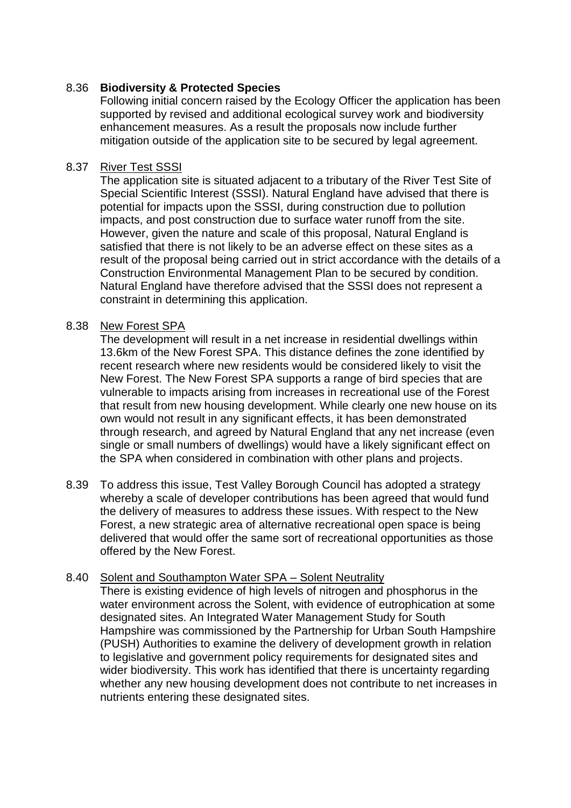# 8.36 **Biodiversity & Protected Species**

Following initial concern raised by the Ecology Officer the application has been supported by revised and additional ecological survey work and biodiversity enhancement measures. As a result the proposals now include further mitigation outside of the application site to be secured by legal agreement.

## 8.37 River Test SSSI

The application site is situated adjacent to a tributary of the River Test Site of Special Scientific Interest (SSSI). Natural England have advised that there is potential for impacts upon the SSSI, during construction due to pollution impacts, and post construction due to surface water runoff from the site. However, given the nature and scale of this proposal, Natural England is satisfied that there is not likely to be an adverse effect on these sites as a result of the proposal being carried out in strict accordance with the details of a Construction Environmental Management Plan to be secured by condition. Natural England have therefore advised that the SSSI does not represent a constraint in determining this application.

## 8.38 New Forest SPA

The development will result in a net increase in residential dwellings within 13.6km of the New Forest SPA. This distance defines the zone identified by recent research where new residents would be considered likely to visit the New Forest. The New Forest SPA supports a range of bird species that are vulnerable to impacts arising from increases in recreational use of the Forest that result from new housing development. While clearly one new house on its own would not result in any significant effects, it has been demonstrated through research, and agreed by Natural England that any net increase (even single or small numbers of dwellings) would have a likely significant effect on the SPA when considered in combination with other plans and projects.

8.39 To address this issue, Test Valley Borough Council has adopted a strategy whereby a scale of developer contributions has been agreed that would fund the delivery of measures to address these issues. With respect to the New Forest, a new strategic area of alternative recreational open space is being delivered that would offer the same sort of recreational opportunities as those offered by the New Forest.

## 8.40 Solent and Southampton Water SPA – Solent Neutrality

There is existing evidence of high levels of nitrogen and phosphorus in the water environment across the Solent, with evidence of eutrophication at some designated sites. An Integrated Water Management Study for South Hampshire was commissioned by the Partnership for Urban South Hampshire (PUSH) Authorities to examine the delivery of development growth in relation to legislative and government policy requirements for designated sites and wider biodiversity. This work has identified that there is uncertainty regarding whether any new housing development does not contribute to net increases in nutrients entering these designated sites.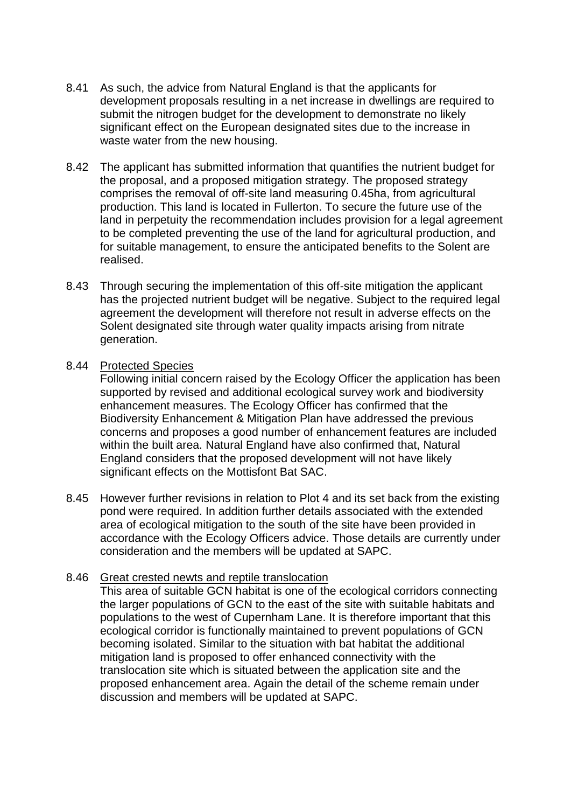- 8.41 As such, the advice from Natural England is that the applicants for development proposals resulting in a net increase in dwellings are required to submit the nitrogen budget for the development to demonstrate no likely significant effect on the European designated sites due to the increase in waste water from the new housing.
- 8.42 The applicant has submitted information that quantifies the nutrient budget for the proposal, and a proposed mitigation strategy. The proposed strategy comprises the removal of off-site land measuring 0.45ha, from agricultural production. This land is located in Fullerton. To secure the future use of the land in perpetuity the recommendation includes provision for a legal agreement to be completed preventing the use of the land for agricultural production, and for suitable management, to ensure the anticipated benefits to the Solent are realised.
- 8.43 Through securing the implementation of this off-site mitigation the applicant has the projected nutrient budget will be negative. Subject to the required legal agreement the development will therefore not result in adverse effects on the Solent designated site through water quality impacts arising from nitrate generation.

## 8.44 Protected Species

Following initial concern raised by the Ecology Officer the application has been supported by revised and additional ecological survey work and biodiversity enhancement measures. The Ecology Officer has confirmed that the Biodiversity Enhancement & Mitigation Plan have addressed the previous concerns and proposes a good number of enhancement features are included within the built area. Natural England have also confirmed that, Natural England considers that the proposed development will not have likely significant effects on the Mottisfont Bat SAC.

8.45 However further revisions in relation to Plot 4 and its set back from the existing pond were required. In addition further details associated with the extended area of ecological mitigation to the south of the site have been provided in accordance with the Ecology Officers advice. Those details are currently under consideration and the members will be updated at SAPC.

## 8.46 Great crested newts and reptile translocation

This area of suitable GCN habitat is one of the ecological corridors connecting the larger populations of GCN to the east of the site with suitable habitats and populations to the west of Cupernham Lane. It is therefore important that this ecological corridor is functionally maintained to prevent populations of GCN becoming isolated. Similar to the situation with bat habitat the additional mitigation land is proposed to offer enhanced connectivity with the translocation site which is situated between the application site and the proposed enhancement area. Again the detail of the scheme remain under discussion and members will be updated at SAPC.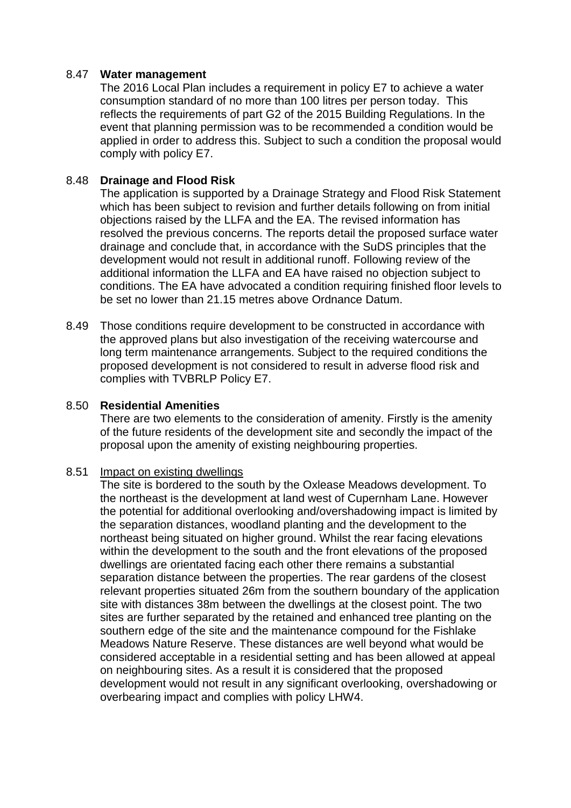## 8.47 **Water management**

The 2016 Local Plan includes a requirement in policy E7 to achieve a water consumption standard of no more than 100 litres per person today. This reflects the requirements of part G2 of the 2015 Building Regulations. In the event that planning permission was to be recommended a condition would be applied in order to address this. Subject to such a condition the proposal would comply with policy E7.

## 8.48 **Drainage and Flood Risk**

The application is supported by a Drainage Strategy and Flood Risk Statement which has been subject to revision and further details following on from initial objections raised by the LLFA and the EA. The revised information has resolved the previous concerns. The reports detail the proposed surface water drainage and conclude that, in accordance with the SuDS principles that the development would not result in additional runoff. Following review of the additional information the LLFA and EA have raised no objection subject to conditions. The EA have advocated a condition requiring finished floor levels to be set no lower than 21.15 metres above Ordnance Datum.

8.49 Those conditions require development to be constructed in accordance with the approved plans but also investigation of the receiving watercourse and long term maintenance arrangements. Subject to the required conditions the proposed development is not considered to result in adverse flood risk and complies with TVBRLP Policy E7.

#### 8.50 **Residential Amenities**

There are two elements to the consideration of amenity. Firstly is the amenity of the future residents of the development site and secondly the impact of the proposal upon the amenity of existing neighbouring properties.

#### 8.51 Impact on existing dwellings

The site is bordered to the south by the Oxlease Meadows development. To the northeast is the development at land west of Cupernham Lane. However the potential for additional overlooking and/overshadowing impact is limited by the separation distances, woodland planting and the development to the northeast being situated on higher ground. Whilst the rear facing elevations within the development to the south and the front elevations of the proposed dwellings are orientated facing each other there remains a substantial separation distance between the properties. The rear gardens of the closest relevant properties situated 26m from the southern boundary of the application site with distances 38m between the dwellings at the closest point. The two sites are further separated by the retained and enhanced tree planting on the southern edge of the site and the maintenance compound for the Fishlake Meadows Nature Reserve. These distances are well beyond what would be considered acceptable in a residential setting and has been allowed at appeal on neighbouring sites. As a result it is considered that the proposed development would not result in any significant overlooking, overshadowing or overbearing impact and complies with policy LHW4.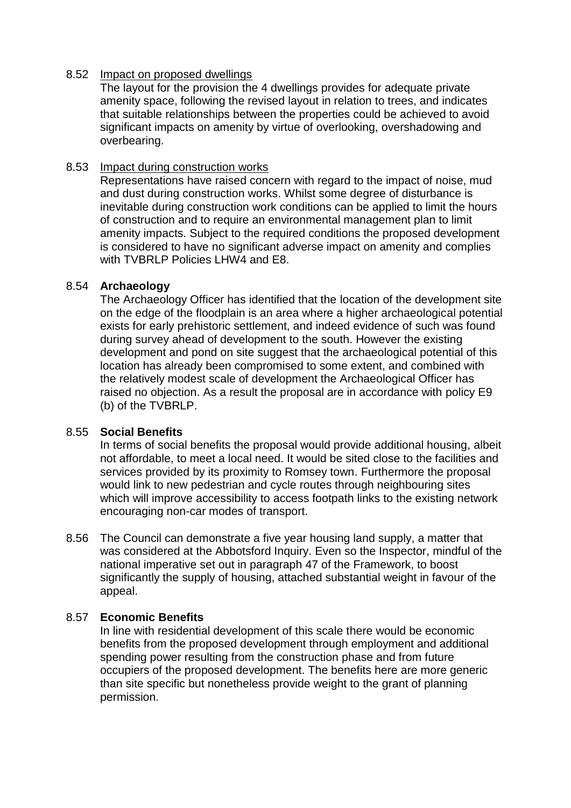## 8.52 Impact on proposed dwellings

The layout for the provision the 4 dwellings provides for adequate private amenity space, following the revised layout in relation to trees, and indicates that suitable relationships between the properties could be achieved to avoid significant impacts on amenity by virtue of overlooking, overshadowing and overbearing.

## 8.53 Impact during construction works

Representations have raised concern with regard to the impact of noise, mud and dust during construction works. Whilst some degree of disturbance is inevitable during construction work conditions can be applied to limit the hours of construction and to require an environmental management plan to limit amenity impacts. Subject to the required conditions the proposed development is considered to have no significant adverse impact on amenity and complies with TVBRLP Policies LHW4 and E8.

#### 8.54 **Archaeology**

The Archaeology Officer has identified that the location of the development site on the edge of the floodplain is an area where a higher archaeological potential exists for early prehistoric settlement, and indeed evidence of such was found during survey ahead of development to the south. However the existing development and pond on site suggest that the archaeological potential of this location has already been compromised to some extent, and combined with the relatively modest scale of development the Archaeological Officer has raised no objection. As a result the proposal are in accordance with policy E9 (b) of the TVBRLP.

## 8.55 **Social Benefits**

In terms of social benefits the proposal would provide additional housing, albeit not affordable, to meet a local need. It would be sited close to the facilities and services provided by its proximity to Romsey town. Furthermore the proposal would link to new pedestrian and cycle routes through neighbouring sites which will improve accessibility to access footpath links to the existing network encouraging non-car modes of transport.

8.56 The Council can demonstrate a five year housing land supply, a matter that was considered at the Abbotsford Inquiry. Even so the Inspector, mindful of the national imperative set out in paragraph 47 of the Framework, to boost significantly the supply of housing, attached substantial weight in favour of the appeal.

## 8.57 **Economic Benefits**

In line with residential development of this scale there would be economic benefits from the proposed development through employment and additional spending power resulting from the construction phase and from future occupiers of the proposed development. The benefits here are more generic than site specific but nonetheless provide weight to the grant of planning permission.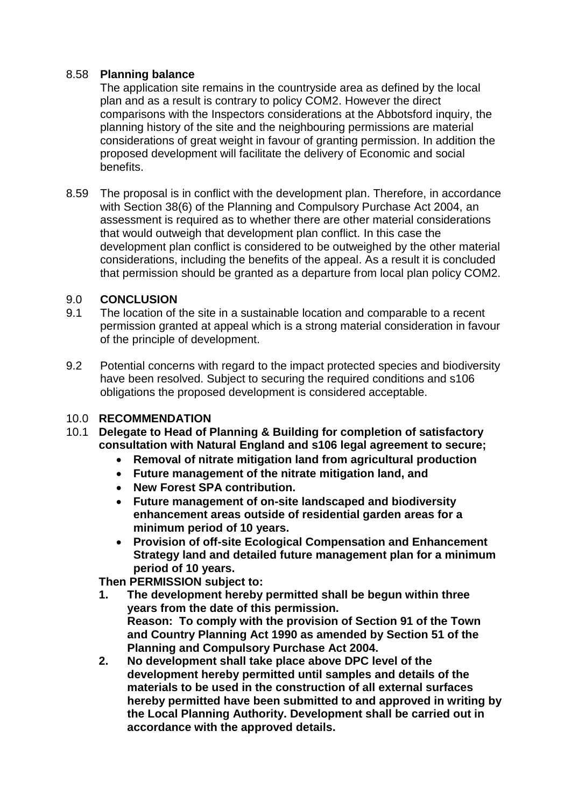# 8.58 **Planning balance**

The application site remains in the countryside area as defined by the local plan and as a result is contrary to policy COM2. However the direct comparisons with the Inspectors considerations at the Abbotsford inquiry, the planning history of the site and the neighbouring permissions are material considerations of great weight in favour of granting permission. In addition the proposed development will facilitate the delivery of Economic and social benefits.

8.59 The proposal is in conflict with the development plan. Therefore, in accordance with Section 38(6) of the Planning and Compulsory Purchase Act 2004, an assessment is required as to whether there are other material considerations that would outweigh that development plan conflict. In this case the development plan conflict is considered to be outweighed by the other material considerations, including the benefits of the appeal. As a result it is concluded that permission should be granted as a departure from local plan policy COM2.

# 9.0 **CONCLUSION**

- 9.1 The location of the site in a sustainable location and comparable to a recent permission granted at appeal which is a strong material consideration in favour of the principle of development.
- 9.2 Potential concerns with regard to the impact protected species and biodiversity have been resolved. Subject to securing the required conditions and s106 obligations the proposed development is considered acceptable.

# 10.0 **RECOMMENDATION**

- 10.1 **Delegate to Head of Planning & Building for completion of satisfactory consultation with Natural England and s106 legal agreement to secure;**
	- **Removal of nitrate mitigation land from agricultural production**
	- **Future management of the nitrate mitigation land, and**
	- **New Forest SPA contribution.**
	- **Future management of on-site landscaped and biodiversity enhancement areas outside of residential garden areas for a minimum period of 10 years.**
	- **Provision of off-site Ecological Compensation and Enhancement Strategy land and detailed future management plan for a minimum period of 10 years.**

**Then PERMISSION subject to:** 

- **1. The development hereby permitted shall be begun within three years from the date of this permission. Reason: To comply with the provision of Section 91 of the Town and Country Planning Act 1990 as amended by Section 51 of the Planning and Compulsory Purchase Act 2004.**
- **2. No development shall take place above DPC level of the development hereby permitted until samples and details of the materials to be used in the construction of all external surfaces hereby permitted have been submitted to and approved in writing by the Local Planning Authority. Development shall be carried out in accordance with the approved details.**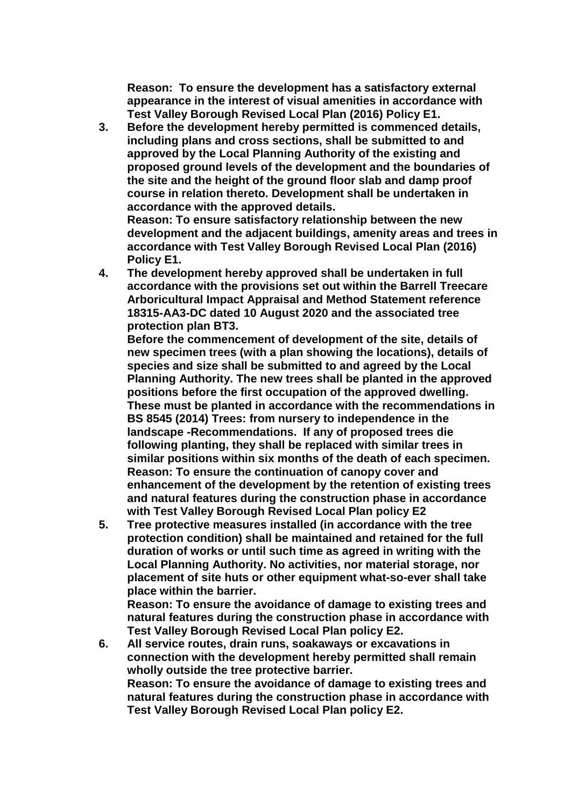**Reason: To ensure the development has a satisfactory external appearance in the interest of visual amenities in accordance with Test Valley Borough Revised Local Plan (2016) Policy E1.**

**3. Before the development hereby permitted is commenced details, including plans and cross sections, shall be submitted to and approved by the Local Planning Authority of the existing and proposed ground levels of the development and the boundaries of the site and the height of the ground floor slab and damp proof course in relation thereto. Development shall be undertaken in accordance with the approved details. Reason: To ensure satisfactory relationship between the new development and the adjacent buildings, amenity areas and trees in** 

**accordance with Test Valley Borough Revised Local Plan (2016) Policy E1. 4. The development hereby approved shall be undertaken in full** 

**accordance with the provisions set out within the Barrell Treecare Arboricultural Impact Appraisal and Method Statement reference 18315-AA3-DC dated 10 August 2020 and the associated tree protection plan BT3.**

**Before the commencement of development of the site, details of new specimen trees (with a plan showing the locations), details of species and size shall be submitted to and agreed by the Local Planning Authority. The new trees shall be planted in the approved positions before the first occupation of the approved dwelling. These must be planted in accordance with the recommendations in BS 8545 (2014) Trees: from nursery to independence in the landscape -Recommendations. If any of proposed trees die following planting, they shall be replaced with similar trees in similar positions within six months of the death of each specimen. Reason: To ensure the continuation of canopy cover and enhancement of the development by the retention of existing trees and natural features during the construction phase in accordance with Test Valley Borough Revised Local Plan policy E2**

**5. Tree protective measures installed (in accordance with the tree protection condition) shall be maintained and retained for the full duration of works or until such time as agreed in writing with the Local Planning Authority. No activities, nor material storage, nor placement of site huts or other equipment what-so-ever shall take place within the barrier.**

**Reason: To ensure the avoidance of damage to existing trees and natural features during the construction phase in accordance with Test Valley Borough Revised Local Plan policy E2.**

**6. All service routes, drain runs, soakaways or excavations in connection with the development hereby permitted shall remain wholly outside the tree protective barrier. Reason: To ensure the avoidance of damage to existing trees and natural features during the construction phase in accordance with Test Valley Borough Revised Local Plan policy E2.**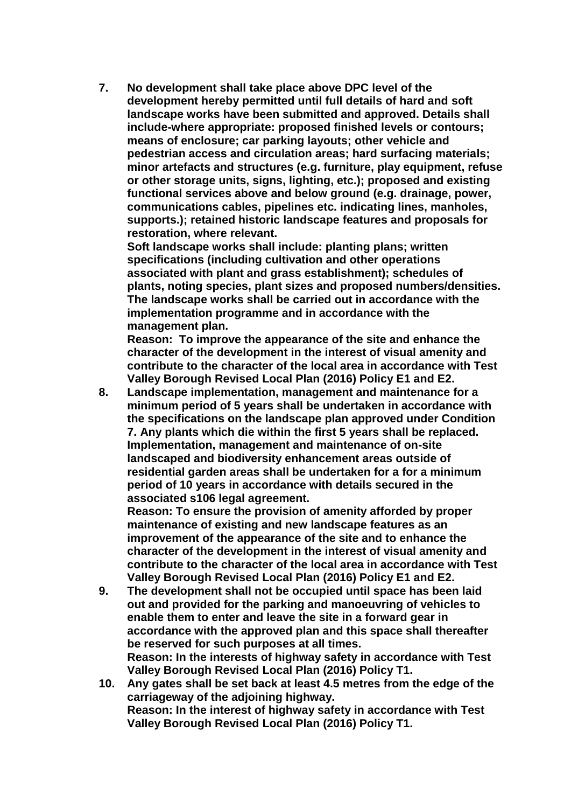**7. No development shall take place above DPC level of the development hereby permitted until full details of hard and soft landscape works have been submitted and approved. Details shall include-where appropriate: proposed finished levels or contours; means of enclosure; car parking layouts; other vehicle and pedestrian access and circulation areas; hard surfacing materials; minor artefacts and structures (e.g. furniture, play equipment, refuse or other storage units, signs, lighting, etc.); proposed and existing functional services above and below ground (e.g. drainage, power, communications cables, pipelines etc. indicating lines, manholes, supports.); retained historic landscape features and proposals for restoration, where relevant.**

**Soft landscape works shall include: planting plans; written specifications (including cultivation and other operations associated with plant and grass establishment); schedules of plants, noting species, plant sizes and proposed numbers/densities. The landscape works shall be carried out in accordance with the implementation programme and in accordance with the management plan.**

**Reason: To improve the appearance of the site and enhance the character of the development in the interest of visual amenity and contribute to the character of the local area in accordance with Test Valley Borough Revised Local Plan (2016) Policy E1 and E2.**

**8. Landscape implementation, management and maintenance for a minimum period of 5 years shall be undertaken in accordance with the specifications on the landscape plan approved under Condition 7. Any plants which die within the first 5 years shall be replaced. Implementation, management and maintenance of on-site landscaped and biodiversity enhancement areas outside of residential garden areas shall be undertaken for a for a minimum period of 10 years in accordance with details secured in the associated s106 legal agreement.** 

**Reason: To ensure the provision of amenity afforded by proper maintenance of existing and new landscape features as an improvement of the appearance of the site and to enhance the character of the development in the interest of visual amenity and contribute to the character of the local area in accordance with Test Valley Borough Revised Local Plan (2016) Policy E1 and E2.**

- **9. The development shall not be occupied until space has been laid out and provided for the parking and manoeuvring of vehicles to enable them to enter and leave the site in a forward gear in accordance with the approved plan and this space shall thereafter be reserved for such purposes at all times. Reason: In the interests of highway safety in accordance with Test Valley Borough Revised Local Plan (2016) Policy T1.**
- **10. Any gates shall be set back at least 4.5 metres from the edge of the carriageway of the adjoining highway. Reason: In the interest of highway safety in accordance with Test Valley Borough Revised Local Plan (2016) Policy T1.**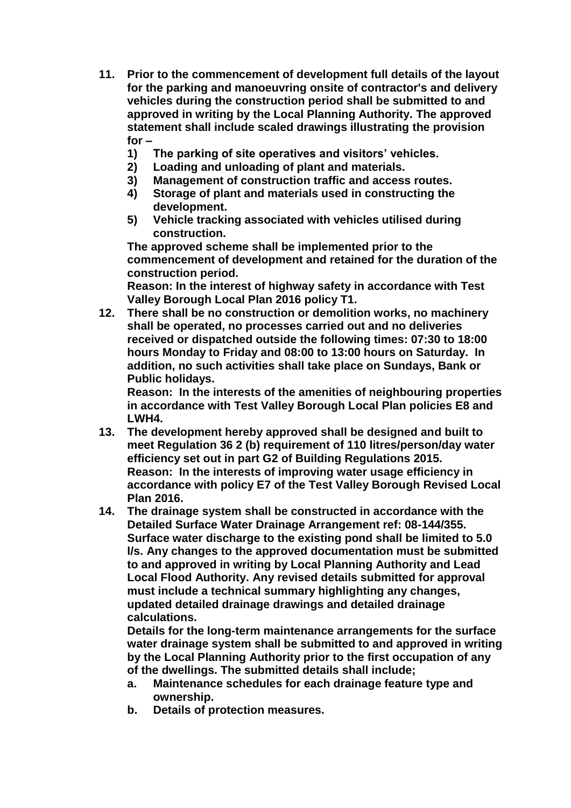- **11. Prior to the commencement of development full details of the layout for the parking and manoeuvring onsite of contractor's and delivery vehicles during the construction period shall be submitted to and approved in writing by the Local Planning Authority. The approved statement shall include scaled drawings illustrating the provision for –**
	- **1) The parking of site operatives and visitors' vehicles.**
	- **2) Loading and unloading of plant and materials.**
	- **3) Management of construction traffic and access routes.**
	- **4) Storage of plant and materials used in constructing the development.**
	- **5) Vehicle tracking associated with vehicles utilised during construction.**

**The approved scheme shall be implemented prior to the commencement of development and retained for the duration of the construction period.** 

**Reason: In the interest of highway safety in accordance with Test Valley Borough Local Plan 2016 policy T1.**

**12. There shall be no construction or demolition works, no machinery shall be operated, no processes carried out and no deliveries received or dispatched outside the following times: 07:30 to 18:00 hours Monday to Friday and 08:00 to 13:00 hours on Saturday. In addition, no such activities shall take place on Sundays, Bank or Public holidays.**

**Reason: In the interests of the amenities of neighbouring properties in accordance with Test Valley Borough Local Plan policies E8 and LWH4.**

- **13. The development hereby approved shall be designed and built to meet Regulation 36 2 (b) requirement of 110 litres/person/day water efficiency set out in part G2 of Building Regulations 2015. Reason: In the interests of improving water usage efficiency in accordance with policy E7 of the Test Valley Borough Revised Local Plan 2016.**
- **14. The drainage system shall be constructed in accordance with the Detailed Surface Water Drainage Arrangement ref: 08-144/355. Surface water discharge to the existing pond shall be limited to 5.0 l/s. Any changes to the approved documentation must be submitted to and approved in writing by Local Planning Authority and Lead Local Flood Authority. Any revised details submitted for approval must include a technical summary highlighting any changes, updated detailed drainage drawings and detailed drainage calculations.**

**Details for the long-term maintenance arrangements for the surface water drainage system shall be submitted to and approved in writing by the Local Planning Authority prior to the first occupation of any of the dwellings. The submitted details shall include;**

- **a. Maintenance schedules for each drainage feature type and ownership.**
- **b. Details of protection measures.**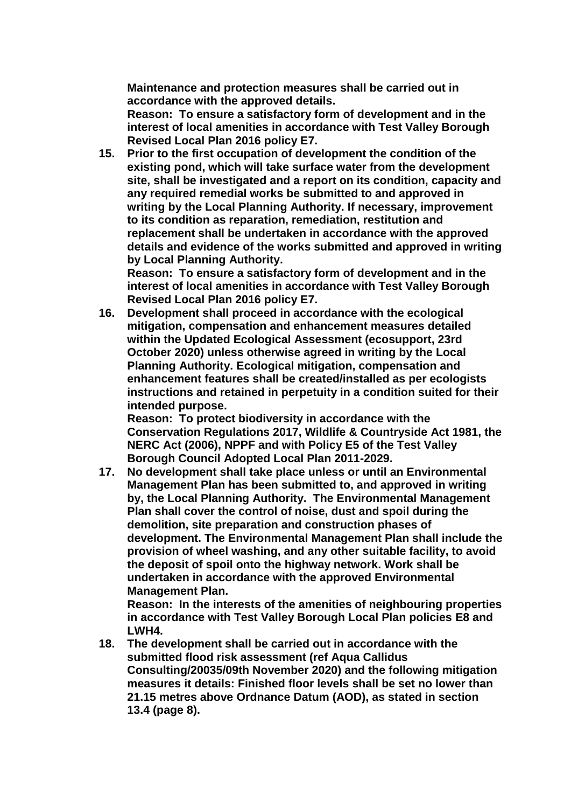**Maintenance and protection measures shall be carried out in accordance with the approved details.** 

**Reason: To ensure a satisfactory form of development and in the interest of local amenities in accordance with Test Valley Borough Revised Local Plan 2016 policy E7.**

**15. Prior to the first occupation of development the condition of the existing pond, which will take surface water from the development site, shall be investigated and a report on its condition, capacity and any required remedial works be submitted to and approved in writing by the Local Planning Authority. If necessary, improvement to its condition as reparation, remediation, restitution and replacement shall be undertaken in accordance with the approved details and evidence of the works submitted and approved in writing by Local Planning Authority.**

**Reason: To ensure a satisfactory form of development and in the interest of local amenities in accordance with Test Valley Borough Revised Local Plan 2016 policy E7.**

**16. Development shall proceed in accordance with the ecological mitigation, compensation and enhancement measures detailed within the Updated Ecological Assessment (ecosupport, 23rd October 2020) unless otherwise agreed in writing by the Local Planning Authority. Ecological mitigation, compensation and enhancement features shall be created/installed as per ecologists instructions and retained in perpetuity in a condition suited for their intended purpose.**

**Reason: To protect biodiversity in accordance with the Conservation Regulations 2017, Wildlife & Countryside Act 1981, the NERC Act (2006), NPPF and with Policy E5 of the Test Valley Borough Council Adopted Local Plan 2011-2029.**

**17. No development shall take place unless or until an Environmental Management Plan has been submitted to, and approved in writing by, the Local Planning Authority. The Environmental Management Plan shall cover the control of noise, dust and spoil during the demolition, site preparation and construction phases of development. The Environmental Management Plan shall include the provision of wheel washing, and any other suitable facility, to avoid the deposit of spoil onto the highway network. Work shall be undertaken in accordance with the approved Environmental Management Plan.** 

**Reason: In the interests of the amenities of neighbouring properties in accordance with Test Valley Borough Local Plan policies E8 and LWH4.** 

**18. The development shall be carried out in accordance with the submitted flood risk assessment (ref Aqua Callidus Consulting/20035/09th November 2020) and the following mitigation measures it details: Finished floor levels shall be set no lower than 21.15 metres above Ordnance Datum (AOD), as stated in section 13.4 (page 8).**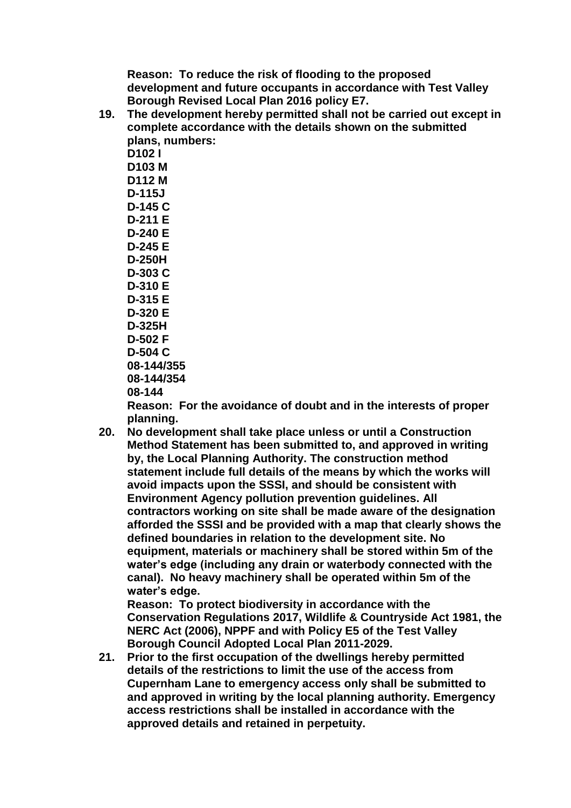**Reason: To reduce the risk of flooding to the proposed development and future occupants in accordance with Test Valley Borough Revised Local Plan 2016 policy E7.** 

**19. The development hereby permitted shall not be carried out except in complete accordance with the details shown on the submitted plans, numbers:**

**D102 I D103 M D112 M D-115J D-145 C D-211 E D-240 E D-245 E D-250H D-303 C D-310 E D-315 E D-320 E D-325H D-502 F D-504 C 08-144/355 08-144/354 08-144**

**Reason: For the avoidance of doubt and in the interests of proper planning.**

**20. No development shall take place unless or until a Construction Method Statement has been submitted to, and approved in writing by, the Local Planning Authority. The construction method statement include full details of the means by which the works will avoid impacts upon the SSSI, and should be consistent with Environment Agency pollution prevention guidelines. All contractors working on site shall be made aware of the designation afforded the SSSI and be provided with a map that clearly shows the defined boundaries in relation to the development site. No equipment, materials or machinery shall be stored within 5m of the water's edge (including any drain or waterbody connected with the canal). No heavy machinery shall be operated within 5m of the water's edge.**

**Reason: To protect biodiversity in accordance with the Conservation Regulations 2017, Wildlife & Countryside Act 1981, the NERC Act (2006), NPPF and with Policy E5 of the Test Valley Borough Council Adopted Local Plan 2011-2029.**

**21. Prior to the first occupation of the dwellings hereby permitted details of the restrictions to limit the use of the access from Cupernham Lane to emergency access only shall be submitted to and approved in writing by the local planning authority. Emergency access restrictions shall be installed in accordance with the approved details and retained in perpetuity.**